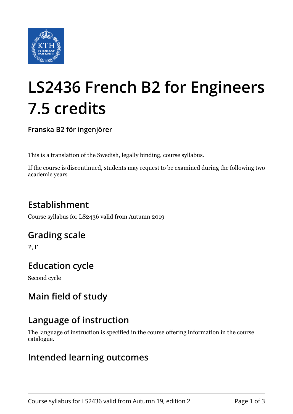

# **LS2436 French B2 for Engineers 7.5 credits**

**Franska B2 för ingenjörer**

This is a translation of the Swedish, legally binding, course syllabus.

If the course is discontinued, students may request to be examined during the following two academic years

## **Establishment**

Course syllabus for LS2436 valid from Autumn 2019

### **Grading scale**

P, F

## **Education cycle**

Second cycle

## **Main field of study**

## **Language of instruction**

The language of instruction is specified in the course offering information in the course catalogue.

### **Intended learning outcomes**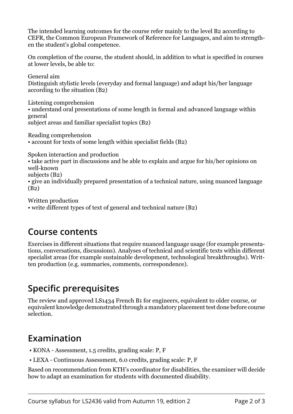The intended learning outcomes for the course refer mainly to the level B2 according to CEFR, the Common European Framework of Reference for Languages, and aim to strengthen the student's global competence.

On completion of the course, the student should, in addition to what is specified in courses at lower levels, be able to:

General aim Distinguish stylistic levels (everyday and formal language) and adapt his/her language according to the situation (B2)

Listening comprehension • understand oral presentations of some length in formal and advanced language within general subject areas and familiar specialist topics (B2)

Reading comprehension

• account for texts of some length within specialist fields (B2)

Spoken interaction and production

• take active part in discussions and be able to explain and argue for his/her opinions on well-known

subjects (B2)

• give an individually prepared presentation of a technical nature, using nuanced language (B2)

Written production

• write different types of text of general and technical nature (B2)

#### **Course contents**

Exercises in different situations that require nuanced language usage (for example presentations, conversations, discussions). Analyses of technical and scientific texts within different specialist areas (for example sustainable development, technological breakthroughs). Written production (e.g. summaries, comments, correspondence).

### **Specific prerequisites**

The review and approved LS1434 French B1 for engineers, equivalent to older course, or equivalent knowledge demonstrated through a mandatory placement test done before course selection.

## **Examination**

- KONA Assessment, 1.5 credits, grading scale: P, F
- LEXA Continuous Assessment, 6.0 credits, grading scale: P, F

Based on recommendation from KTH's coordinator for disabilities, the examiner will decide how to adapt an examination for students with documented disability.